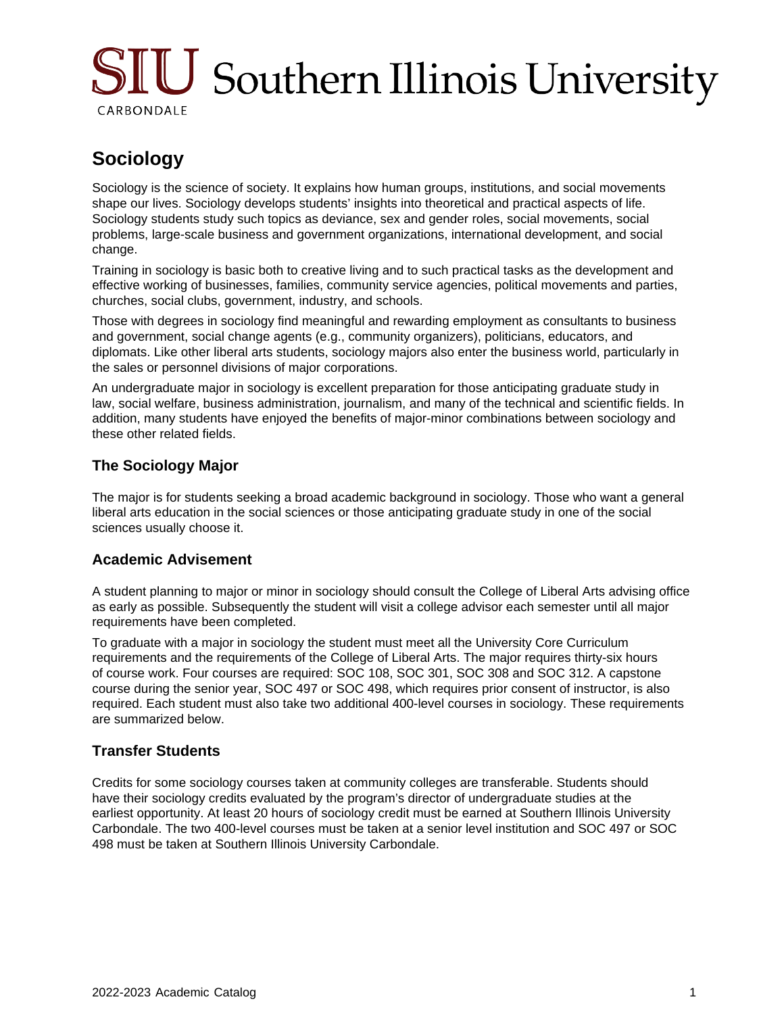# SIU Southern Illinois University CARBONDALE

## **Sociology**

Sociology is the science of society. It explains how human groups, institutions, and social movements shape our lives. Sociology develops students' insights into theoretical and practical aspects of life. Sociology students study such topics as deviance, sex and gender roles, social movements, social problems, large-scale business and government organizations, international development, and social change.

Training in sociology is basic both to creative living and to such practical tasks as the development and effective working of businesses, families, community service agencies, political movements and parties, churches, social clubs, government, industry, and schools.

Those with degrees in sociology find meaningful and rewarding employment as consultants to business and government, social change agents (e.g., community organizers), politicians, educators, and diplomats. Like other liberal arts students, sociology majors also enter the business world, particularly in the sales or personnel divisions of major corporations.

An undergraduate major in sociology is excellent preparation for those anticipating graduate study in law, social welfare, business administration, journalism, and many of the technical and scientific fields. In addition, many students have enjoyed the benefits of major-minor combinations between sociology and these other related fields.

#### **The Sociology Major**

The major is for students seeking a broad academic background in sociology. Those who want a general liberal arts education in the social sciences or those anticipating graduate study in one of the social sciences usually choose it.

### **Academic Advisement**

A student planning to major or minor in sociology should consult the College of Liberal Arts advising office as early as possible. Subsequently the student will visit a college advisor each semester until all major requirements have been completed.

To graduate with a major in sociology the student must meet all the University Core Curriculum requirements and the requirements of the College of Liberal Arts. The major requires thirty-six hours of course work. Four courses are required: SOC 108, SOC 301, SOC 308 and SOC 312. A capstone course during the senior year, SOC 497 or SOC 498, which requires prior consent of instructor, is also required. Each student must also take two additional 400-level courses in sociology. These requirements are summarized below.

### **Transfer Students**

Credits for some sociology courses taken at community colleges are transferable. Students should have their sociology credits evaluated by the program's director of undergraduate studies at the earliest opportunity. At least 20 hours of sociology credit must be earned at Southern Illinois University Carbondale. The two 400-level courses must be taken at a senior level institution and SOC 497 or SOC 498 must be taken at Southern Illinois University Carbondale.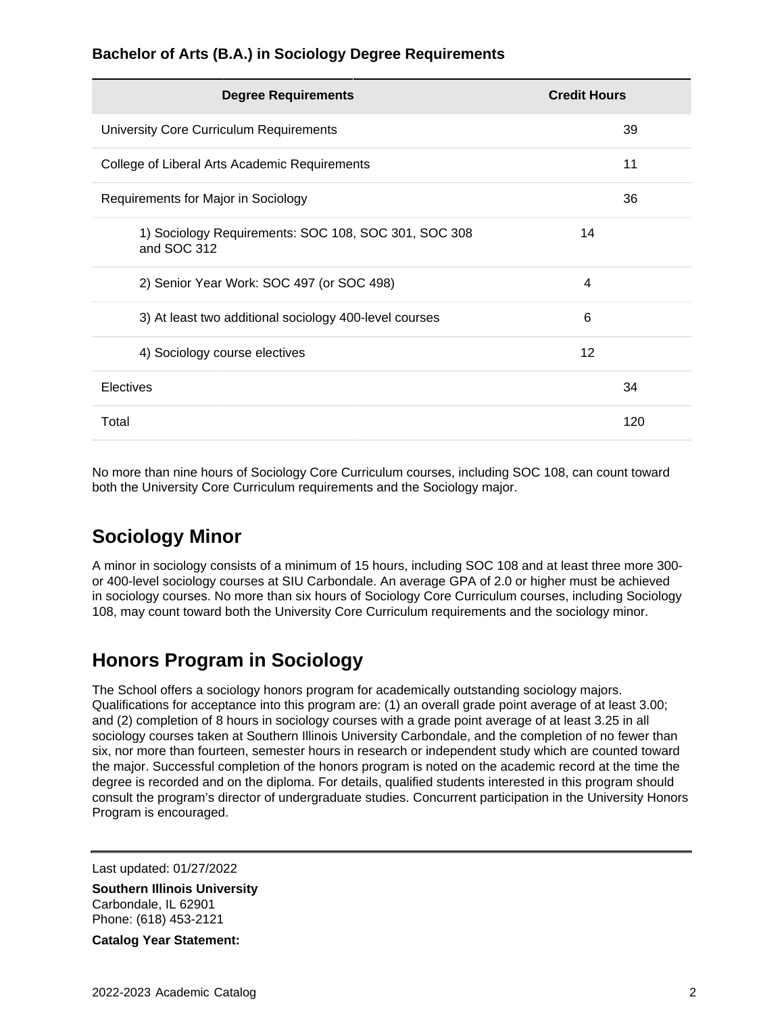#### **Bachelor of Arts (B.A.) in Sociology Degree Requirements**

| <b>Degree Requirements</b>                                          | <b>Credit Hours</b> |
|---------------------------------------------------------------------|---------------------|
| University Core Curriculum Requirements                             | 39                  |
| College of Liberal Arts Academic Requirements                       | 11                  |
| Requirements for Major in Sociology                                 | 36                  |
| 1) Sociology Requirements: SOC 108, SOC 301, SOC 308<br>and SOC 312 | 14                  |
| 2) Senior Year Work: SOC 497 (or SOC 498)                           | 4                   |
| 3) At least two additional sociology 400-level courses              | 6                   |
| 4) Sociology course electives                                       | 12                  |
| Electives                                                           | 34                  |
| Total                                                               | 120                 |

No more than nine hours of Sociology Core Curriculum courses, including SOC 108, can count toward both the University Core Curriculum requirements and the Sociology major.

## **Sociology Minor**

A minor in sociology consists of a minimum of 15 hours, including SOC 108 and at least three more 300 or 400-level sociology courses at SIU Carbondale. An average GPA of 2.0 or higher must be achieved in sociology courses. No more than six hours of Sociology Core Curriculum courses, including Sociology 108, may count toward both the University Core Curriculum requirements and the sociology minor.

## **Honors Program in Sociology**

The School offers a sociology honors program for academically outstanding sociology majors. Qualifications for acceptance into this program are: (1) an overall grade point average of at least 3.00; and (2) completion of 8 hours in sociology courses with a grade point average of at least 3.25 in all sociology courses taken at Southern Illinois University Carbondale, and the completion of no fewer than six, nor more than fourteen, semester hours in research or independent study which are counted toward the major. Successful completion of the honors program is noted on the academic record at the time the degree is recorded and on the diploma. For details, qualified students interested in this program should consult the program's director of undergraduate studies. Concurrent participation in the University Honors Program is encouraged.

Last updated: 01/27/2022

**Southern Illinois University** Carbondale, IL 62901 Phone: (618) 453-2121

**Catalog Year Statement:**